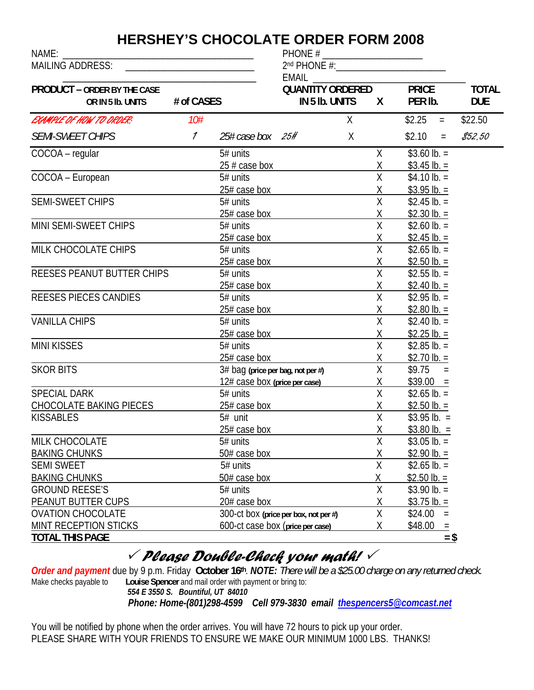## **HERSHEY'S CHOCOLATE ORDER FORM 2008**

NAME: \_\_\_\_\_\_\_\_\_\_\_\_\_\_\_\_\_\_\_\_\_\_\_\_\_\_\_\_\_\_\_\_\_\_\_\_\_\_\_\_ PHONE # \_\_\_\_\_\_\_\_\_\_\_\_\_\_\_\_\_\_\_\_\_

| MAILING ADDRESS: _____________________________          |               |                                   | EMAIL                                       |    |                         |                         |          |                            |
|---------------------------------------------------------|---------------|-----------------------------------|---------------------------------------------|----|-------------------------|-------------------------|----------|----------------------------|
| <b>PRODUCT - ORDER BY THE CASE</b><br>OR IN 5 lb. UNITS | # of CASES    |                                   | <b>QUANTITY ORDERED</b><br>IN 5 Ib. UNITS X |    |                         | <b>PRICE</b><br>PER Ib. |          | <b>TOTAL</b><br><b>DUE</b> |
| EXAMPLE OF HOW TO ORDER?                                | 10#           |                                   |                                             | X. |                         | \$2.25                  | $\equiv$ | \$22.50                    |
| <b>SEMI-SWEET CHIPS</b>                                 | $\mathcal{I}$ | 25# case box 25#                  |                                             | X  |                         | \$2.10                  | $\equiv$ | \$52,50                    |
| COCOA - regular                                         |               | 5# units                          |                                             |    | X                       | $$3.60$ lb. =           |          |                            |
|                                                         |               | $25 \# \case$ box                 |                                             |    | X                       | \$3.45 lb. =            |          |                            |
| COCOA - European                                        |               | 5# units                          |                                             |    | $\overline{X}$          | $$4.10 lb. =$           |          |                            |
|                                                         |               | 25# case box                      |                                             |    | $\overline{X}$          | \$3.95 lb. =            |          |                            |
| SEMI-SWEET CHIPS                                        |               | 5# units                          |                                             |    | $\overline{X}$          | $$2.45$ lb. =           |          |                            |
|                                                         |               | 25# case box                      |                                             |    | Χ                       | \$2.30 lb. =            |          |                            |
| MINI SEMI-SWEET CHIPS                                   |               | 5# units                          |                                             |    | X                       | \$2.60 lb. $=$          |          |                            |
|                                                         |               | $25#$ case box                    |                                             |    | Χ                       | \$2.45 lb. =            |          |                            |
| MILK CHOCOLATE CHIPS                                    |               | 5# units                          |                                             |    | $\overline{X}$          | $$2.65$ lb. =           |          |                            |
|                                                         |               | 25# case box                      |                                             |    | $\chi$                  | $$2.50$ lb. =           |          |                            |
| REESES PEANUT BUTTER CHIPS                              |               | $5#$ units                        |                                             |    | $\overline{\mathsf{X}}$ | \$2.55 lb. $=$          |          |                            |
|                                                         |               | 25# case box                      |                                             |    | Χ                       | \$2.40 lb. =            |          |                            |
| REESES PIECES CANDIES                                   |               | 5# units                          |                                             |    | $\sf X$                 | $$2.95$ lb. =           |          |                            |
|                                                         |               | 25# case box                      |                                             |    | Χ                       | \$2.80 lb. =            |          |                            |
| <b>VANILLA CHIPS</b>                                    |               | 5# units                          |                                             |    | $\overline{X}$          | $$2.40 lb. =$           |          |                            |
|                                                         |               | 25# case box                      |                                             |    |                         | \$2.25 lb. =            |          |                            |
| <b>MINI KISSES</b>                                      |               | 5# units                          |                                             |    | $\frac{\chi}{\chi}$     | $$2.85$ lb. =           |          |                            |
|                                                         |               | 25# case box                      |                                             |    | Χ                       | $$2.70$ lb. =           |          |                            |
| <b>SKOR BITS</b>                                        |               | 3# bag (price per bag, not per #) |                                             |    | $\overline{X}$          | $$9.75 =$               |          |                            |
|                                                         |               | 12# case box (price per case)     |                                             |    | X                       | $$39.00 =$              |          |                            |
| SPECIAL DARK                                            |               | 5# units                          |                                             |    | $\overline{X}$          | $$2.65$ lb. =           |          |                            |
| CHOCOLATE BAKING PIECES                                 |               | 25# case box                      |                                             |    | Χ                       | \$2.50 lb. $=$          |          |                            |
| <b>KISSABLES</b>                                        |               | 5# unit                           |                                             |    | $\overline{X}$          | $$3.95$ lb. =           |          |                            |
|                                                         |               | 25# case box                      |                                             |    | X                       | $$3.80$ lb. =           |          |                            |
| MILK CHOCOLATE                                          |               | $5#$ units                        |                                             |    | $\overline{X}$          | $$3.05$ lb. =           |          |                            |
| <b>BAKING CHUNKS</b>                                    |               | 50# case box                      |                                             |    | $\lambda$<br><u>х</u>   | $$2.90 lb. =$           |          |                            |
| <b>SEMI SWEET</b>                                       |               | 5# units                          |                                             |    | Χ                       | \$2.65 lb. $=$          |          |                            |
| <b>BAKING CHUNKS</b>                                    |               | 50# case box                      |                                             |    | Χ                       | \$2.50 lb. $=$          |          |                            |
| <b>GROUND REESE'S</b>                                   |               | 5# units                          |                                             |    | X                       | $$3.90$ lb. =           |          |                            |
| PEANUT BUTTER CUPS                                      |               | 20# case box                      |                                             |    | Χ                       | $$3.75$ lb. =           |          |                            |
| <b>OVATION CHOCOLATE</b>                                |               |                                   | 300-ct box (price per box, not per #)       |    | Χ                       | \$24.00                 | $=$      |                            |
| MINT RECEPTION STICKS                                   |               | 600-ct case box (price per case)  |                                             |    | Χ                       | \$48.00                 |          |                            |
| <b>TOTAL THIS PAGE</b>                                  |               |                                   |                                             |    |                         |                         | $=$ \$   |                            |
|                                                         |               |                                   |                                             |    |                         |                         |          |                            |

## 3 *Please Double-Check your math!* <sup>3</sup>

*Order and payment* due by 9 p.m. Friday **October 16th**. *NOTE: There will be a \$25.00 charge on any returned check.*  Louise Spencer and mail order with payment or bring to:

*554 E 3550 S. Bountiful, UT 84010*

*Phone: Home-(801)298-4599 Cell 979-3830 email thespencers5@comcast.net*

You will be notified by phone when the order arrives. You will have 72 hours to pick up your order. PLEASE SHARE WITH YOUR FRIENDS TO ENSURE WE MAKE OUR MINIMUM 1000 LBS. THANKS!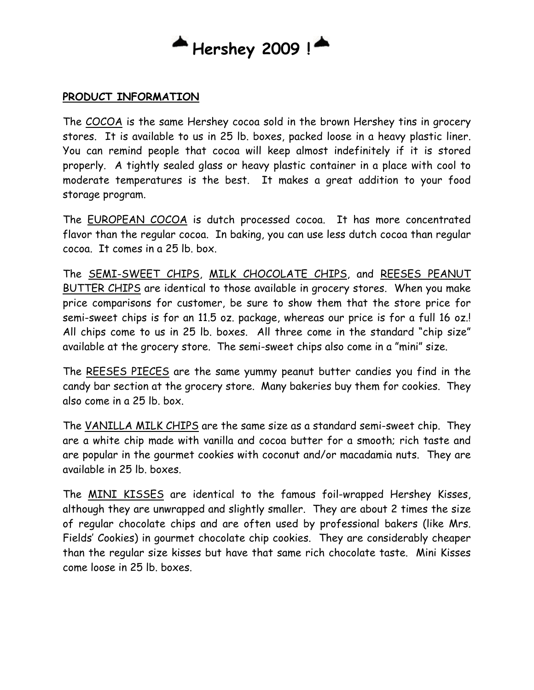## **Hershey 2009 !**

#### **PRODUCT INFORMATION**

The COCOA is the same Hershey cocoa sold in the brown Hershey tins in grocery stores. It is available to us in 25 lb. boxes, packed loose in a heavy plastic liner. You can remind people that cocoa will keep almost indefinitely if it is stored properly. A tightly sealed glass or heavy plastic container in a place with cool to moderate temperatures is the best. It makes a great addition to your food storage program.

The EUROPEAN COCOA is dutch processed cocoa. It has more concentrated flavor than the regular cocoa. In baking, you can use less dutch cocoa than regular cocoa. It comes in a 25 lb. box.

The SEMI-SWEET CHIPS, MILK CHOCOLATE CHIPS, and REESES PEANUT BUTTER CHIPS are identical to those available in grocery stores. When you make price comparisons for customer, be sure to show them that the store price for semi-sweet chips is for an 11.5 oz. package, whereas our price is for a full 16 oz.! All chips come to us in 25 lb. boxes. All three come in the standard "chip size" available at the grocery store. The semi-sweet chips also come in a "mini" size.

The REESES PIECES are the same yummy peanut butter candies you find in the candy bar section at the grocery store. Many bakeries buy them for cookies. They also come in a 25 lb. box.

The VANILLA MILK CHIPS are the same size as a standard semi-sweet chip. They are a white chip made with vanilla and cocoa butter for a smooth; rich taste and are popular in the gourmet cookies with coconut and/or macadamia nuts. They are available in 25 lb. boxes.

The MINI KISSES are identical to the famous foil-wrapped Hershey Kisses, although they are unwrapped and slightly smaller. They are about 2 times the size of regular chocolate chips and are often used by professional bakers (like Mrs. Fields' Cookies) in gourmet chocolate chip cookies. They are considerably cheaper than the regular size kisses but have that same rich chocolate taste. Mini Kisses come loose in 25 lb. boxes.